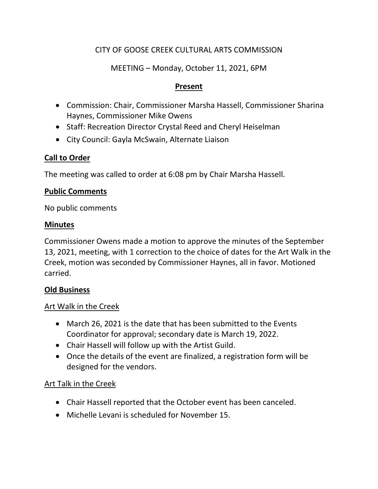# CITY OF GOOSE CREEK CULTURAL ARTS COMMISSION

# MEETING – Monday, October 11, 2021, 6PM

#### **Present**

- Commission: Chair, Commissioner Marsha Hassell, Commissioner Sharina Haynes, Commissioner Mike Owens
- Staff: Recreation Director Crystal Reed and Cheryl Heiselman
- City Council: Gayla McSwain, Alternate Liaison

# **Call to Order**

The meeting was called to order at 6:08 pm by Chair Marsha Hassell.

#### **Public Comments**

No public comments

#### **Minutes**

Commissioner Owens made a motion to approve the minutes of the September 13, 2021, meeting, with 1 correction to the choice of dates for the Art Walk in the Creek, motion was seconded by Commissioner Haynes, all in favor. Motioned carried.

# **Old Business**

# Art Walk in the Creek

- March 26, 2021 is the date that has been submitted to the Events Coordinator for approval; secondary date is March 19, 2022.
- Chair Hassell will follow up with the Artist Guild.
- Once the details of the event are finalized, a registration form will be designed for the vendors.

# Art Talk in the Creek

- Chair Hassell reported that the October event has been canceled.
- Michelle Levani is scheduled for November 15.